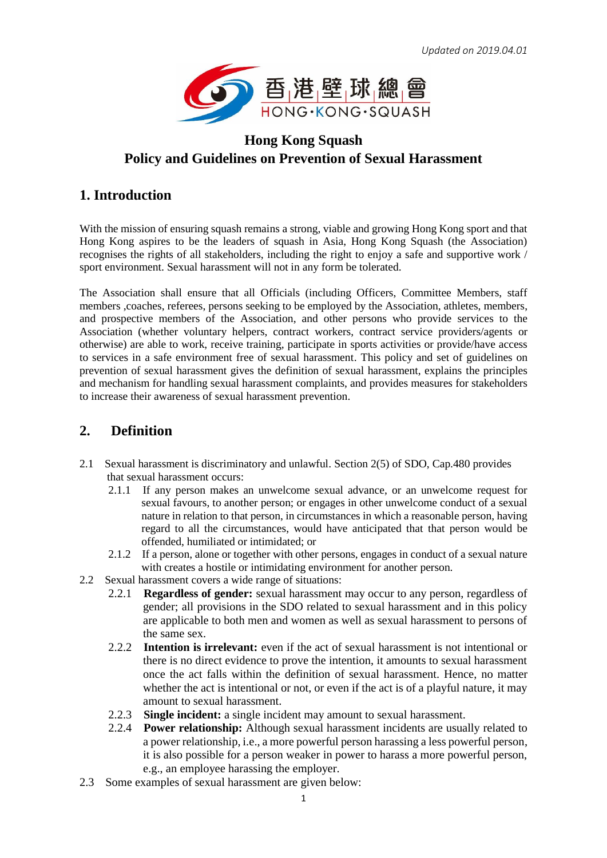

# **Hong Kong Squash Policy and Guidelines on Prevention of Sexual Harassment**

### **1. Introduction**

With the mission of ensuring squash remains a strong, viable and growing Hong Kong sport and that Hong Kong aspires to be the leaders of squash in Asia, Hong Kong Squash (the Association) recognises the rights of all stakeholders, including the right to enjoy a safe and supportive work / sport environment. Sexual harassment will not in any form be tolerated.

The Association shall ensure that all Officials (including Officers, Committee Members, staff members ,coaches, referees, persons seeking to be employed by the Association, athletes, members, and prospective members of the Association, and other persons who provide services to the Association (whether voluntary helpers, contract workers, contract service providers/agents or otherwise) are able to work, receive training, participate in sports activities or provide/have access to services in a safe environment free of sexual harassment. This policy and set of guidelines on prevention of sexual harassment gives the definition of sexual harassment, explains the principles and mechanism for handling sexual harassment complaints, and provides measures for stakeholders to increase their awareness of sexual harassment prevention.

## **2. Definition**

- 2.1 Sexual harassment is discriminatory and unlawful. Section 2(5) of SDO, Cap.480 provides that sexual harassment occurs:
	- 2.1.1 If any person makes an unwelcome sexual advance, or an unwelcome request for sexual favours, to another person; or engages in other unwelcome conduct of a sexual nature in relation to that person, in circumstances in which a reasonable person, having regard to all the circumstances, would have anticipated that that person would be offended, humiliated or intimidated; or
	- 2.1.2 If a person, alone or together with other persons, engages in conduct of a sexual nature with creates a hostile or intimidating environment for another person.
- 2.2 Sexual harassment covers a wide range of situations:
	- 2.2.1 **Regardless of gender:** sexual harassment may occur to any person, regardless of gender; all provisions in the SDO related to sexual harassment and in this policy are applicable to both men and women as well as sexual harassment to persons of the same sex.
	- 2.2.2 **Intention is irrelevant:** even if the act of sexual harassment is not intentional or there is no direct evidence to prove the intention, it amounts to sexual harassment once the act falls within the definition of sexual harassment. Hence, no matter whether the act is intentional or not, or even if the act is of a playful nature, it may amount to sexual harassment.
	- 2.2.3 **Single incident:** a single incident may amount to sexual harassment.
	- 2.2.4 **Power relationship:** Although sexual harassment incidents are usually related to a power relationship, i.e., a more powerful person harassing a less powerful person, it is also possible for a person weaker in power to harass a more powerful person, e.g., an employee harassing the employer.
- 2.3 Some examples of sexual harassment are given below: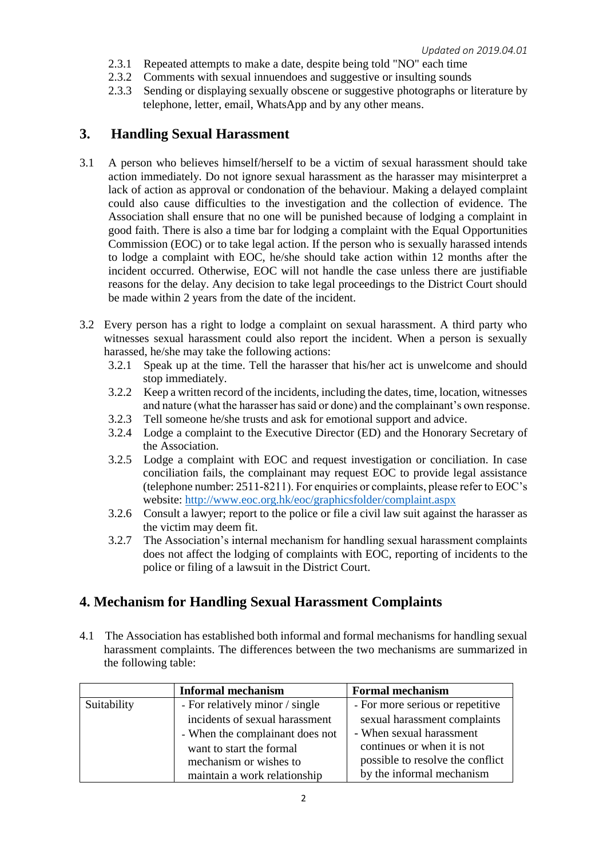- 2.3.1 Repeated attempts to make a date, despite being told "NO" each time
- 2.3.2 Comments with sexual innuendoes and suggestive or insulting sounds
- 2.3.3 Sending or displaying sexually obscene or suggestive photographs or literature by telephone, letter, email, WhatsApp and by any other means.

#### **3. Handling Sexual Harassment**

- 3.1 A person who believes himself/herself to be a victim of sexual harassment should take action immediately. Do not ignore sexual harassment as the harasser may misinterpret a lack of action as approval or condonation of the behaviour. Making a delayed complaint could also cause difficulties to the investigation and the collection of evidence. The Association shall ensure that no one will be punished because of lodging a complaint in good faith. There is also a time bar for lodging a complaint with the Equal Opportunities Commission (EOC) or to take legal action. If the person who is sexually harassed intends to lodge a complaint with EOC, he/she should take action within 12 months after the incident occurred. Otherwise, EOC will not handle the case unless there are justifiable reasons for the delay. Any decision to take legal proceedings to the District Court should be made within 2 years from the date of the incident.
- 3.2 Every person has a right to lodge a complaint on sexual harassment. A third party who witnesses sexual harassment could also report the incident. When a person is sexually harassed, he/she may take the following actions:
	- 3.2.1 Speak up at the time. Tell the harasser that his/her act is unwelcome and should stop immediately.
	- 3.2.2 Keep a written record of the incidents, including the dates, time, location, witnesses and nature (what the harasser has said or done) and the complainant's own response.
	- 3.2.3 Tell someone he/she trusts and ask for emotional support and advice.
	- 3.2.4 Lodge a complaint to the Executive Director (ED) and the Honorary Secretary of the Association.
	- 3.2.5 Lodge a complaint with EOC and request investigation or conciliation. In case conciliation fails, the complainant may request EOC to provide legal assistance (telephone number: 2511-8211). For enquiries or complaints, please refer to EOC's website:<http://www.eoc.org.hk/eoc/graphicsfolder/complaint.aspx>
	- 3.2.6 Consult a lawyer; report to the police or file a civil law suit against the harasser as the victim may deem fit.
	- 3.2.7 The Association's internal mechanism for handling sexual harassment complaints does not affect the lodging of complaints with EOC, reporting of incidents to the police or filing of a lawsuit in the District Court.

#### **4. Mechanism for Handling Sexual Harassment Complaints**

4.1 The Association has established both informal and formal mechanisms for handling sexual harassment complaints. The differences between the two mechanisms are summarized in the following table:

|             | <b>Informal mechanism</b>       | <b>Formal mechanism</b>          |
|-------------|---------------------------------|----------------------------------|
| Suitability | - For relatively minor / single | - For more serious or repetitive |
|             | incidents of sexual harassment  | sexual harassment complaints     |
|             | - When the complainant does not | - When sexual harassment         |
|             | want to start the formal        | continues or when it is not      |
|             | mechanism or wishes to          | possible to resolve the conflict |
|             | maintain a work relationship    | by the informal mechanism        |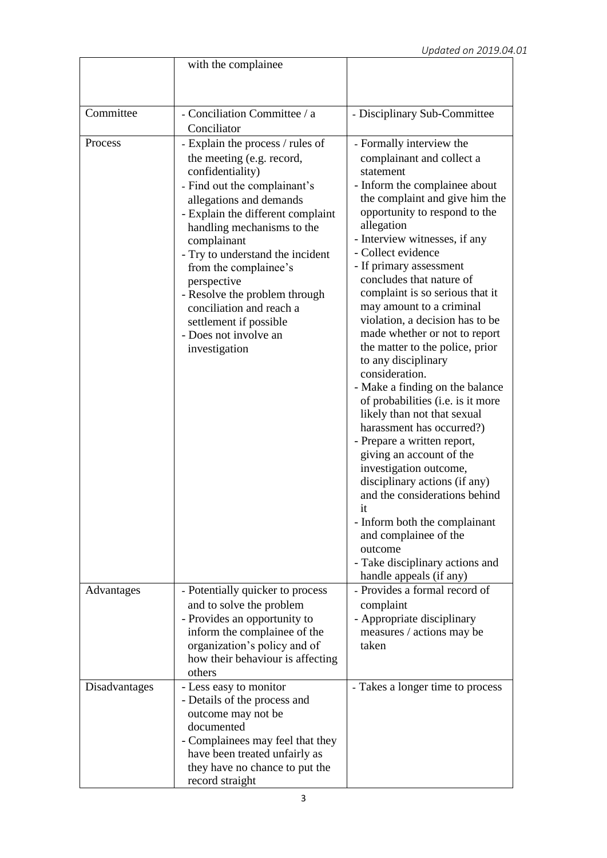|               | with the complainee                                               |                                                            |
|---------------|-------------------------------------------------------------------|------------------------------------------------------------|
|               |                                                                   |                                                            |
|               |                                                                   |                                                            |
| Committee     | - Conciliation Committee / a                                      | - Disciplinary Sub-Committee                               |
|               | Conciliator                                                       |                                                            |
| Process       | - Explain the process / rules of                                  | - Formally interview the                                   |
|               | the meeting (e.g. record,                                         | complainant and collect a                                  |
|               | confidentiality)                                                  | statement                                                  |
|               | - Find out the complainant's                                      | - Inform the complainee about                              |
|               | allegations and demands                                           | the complaint and give him the                             |
|               | - Explain the different complaint                                 | opportunity to respond to the                              |
|               | handling mechanisms to the                                        | allegation                                                 |
|               | complainant                                                       | - Interview witnesses, if any                              |
|               | - Try to understand the incident                                  | - Collect evidence<br>- If primary assessment              |
|               | from the complainee's                                             | concludes that nature of                                   |
|               | perspective<br>- Resolve the problem through                      | complaint is so serious that it                            |
|               | conciliation and reach a                                          | may amount to a criminal                                   |
|               | settlement if possible                                            | violation, a decision has to be                            |
|               | - Does not involve an                                             | made whether or not to report                              |
|               | investigation                                                     | the matter to the police, prior                            |
|               |                                                                   | to any disciplinary                                        |
|               |                                                                   | consideration.                                             |
|               |                                                                   | - Make a finding on the balance                            |
|               |                                                                   | of probabilities (i.e. is it more                          |
|               |                                                                   | likely than not that sexual<br>harassment has occurred?)   |
|               |                                                                   | - Prepare a written report,                                |
|               |                                                                   | giving an account of the                                   |
|               |                                                                   | investigation outcome,                                     |
|               |                                                                   | disciplinary actions (if any)                              |
|               |                                                                   | and the considerations behind                              |
|               |                                                                   | it                                                         |
|               |                                                                   | - Inform both the complainant                              |
|               |                                                                   | and complainee of the                                      |
|               |                                                                   | outcome                                                    |
|               |                                                                   | - Take disciplinary actions and<br>handle appeals (if any) |
| Advantages    | - Potentially quicker to process                                  | - Provides a formal record of                              |
|               | and to solve the problem                                          | complaint                                                  |
|               | - Provides an opportunity to                                      | - Appropriate disciplinary                                 |
|               | inform the complainee of the                                      | measures / actions may be                                  |
|               | organization's policy and of                                      | taken                                                      |
|               | how their behaviour is affecting                                  |                                                            |
|               | others                                                            |                                                            |
| Disadvantages | - Less easy to monitor                                            | - Takes a longer time to process                           |
|               | - Details of the process and                                      |                                                            |
|               | outcome may not be                                                |                                                            |
|               | documented                                                        |                                                            |
|               | - Complainees may feel that they<br>have been treated unfairly as |                                                            |
|               | they have no chance to put the                                    |                                                            |
|               | record straight                                                   |                                                            |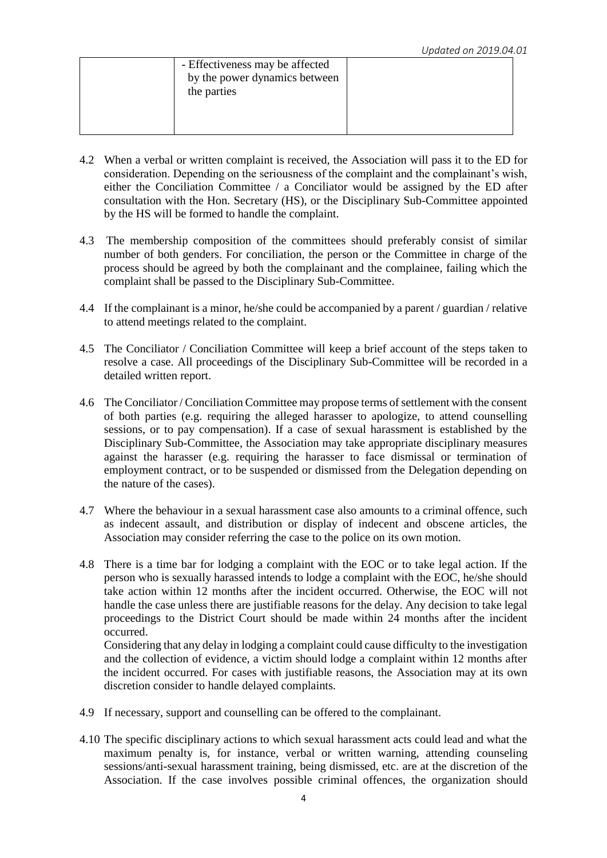| - Effectiveness may be affected<br>by the power dynamics between<br>the parties |  |
|---------------------------------------------------------------------------------|--|
|                                                                                 |  |

- 4.2 When a verbal or written complaint is received, the Association will pass it to the ED for consideration. Depending on the seriousness of the complaint and the complainant's wish, either the Conciliation Committee / a Conciliator would be assigned by the ED after consultation with the Hon. Secretary (HS), or the Disciplinary Sub-Committee appointed by the HS will be formed to handle the complaint.
- 4.3 The membership composition of the committees should preferably consist of similar number of both genders. For conciliation, the person or the Committee in charge of the process should be agreed by both the complainant and the complainee, failing which the complaint shall be passed to the Disciplinary Sub-Committee.
- 4.4 If the complainant is a minor, he/she could be accompanied by a parent / guardian / relative to attend meetings related to the complaint.
- 4.5 The Conciliator / Conciliation Committee will keep a brief account of the steps taken to resolve a case. All proceedings of the Disciplinary Sub-Committee will be recorded in a detailed written report.
- 4.6 The Conciliator / Conciliation Committee may propose terms of settlement with the consent of both parties (e.g. requiring the alleged harasser to apologize, to attend counselling sessions, or to pay compensation). If a case of sexual harassment is established by the Disciplinary Sub-Committee, the Association may take appropriate disciplinary measures against the harasser (e.g. requiring the harasser to face dismissal or termination of employment contract, or to be suspended or dismissed from the Delegation depending on the nature of the cases).
- 4.7 Where the behaviour in a sexual harassment case also amounts to a criminal offence, such as indecent assault, and distribution or display of indecent and obscene articles, the Association may consider referring the case to the police on its own motion.
- 4.8 There is a time bar for lodging a complaint with the EOC or to take legal action. If the person who is sexually harassed intends to lodge a complaint with the EOC, he/she should take action within 12 months after the incident occurred. Otherwise, the EOC will not handle the case unless there are justifiable reasons for the delay. Any decision to take legal proceedings to the District Court should be made within 24 months after the incident occurred.

Considering that any delay in lodging a complaint could cause difficulty to the investigation and the collection of evidence, a victim should lodge a complaint within 12 months after the incident occurred. For cases with justifiable reasons, the Association may at its own discretion consider to handle delayed complaints.

- 4.9 If necessary, support and counselling can be offered to the complainant.
- 4.10 The specific disciplinary actions to which sexual harassment acts could lead and what the maximum penalty is, for instance, verbal or written warning, attending counseling sessions/anti-sexual harassment training, being dismissed, etc. are at the discretion of the Association. If the case involves possible criminal offences, the organization should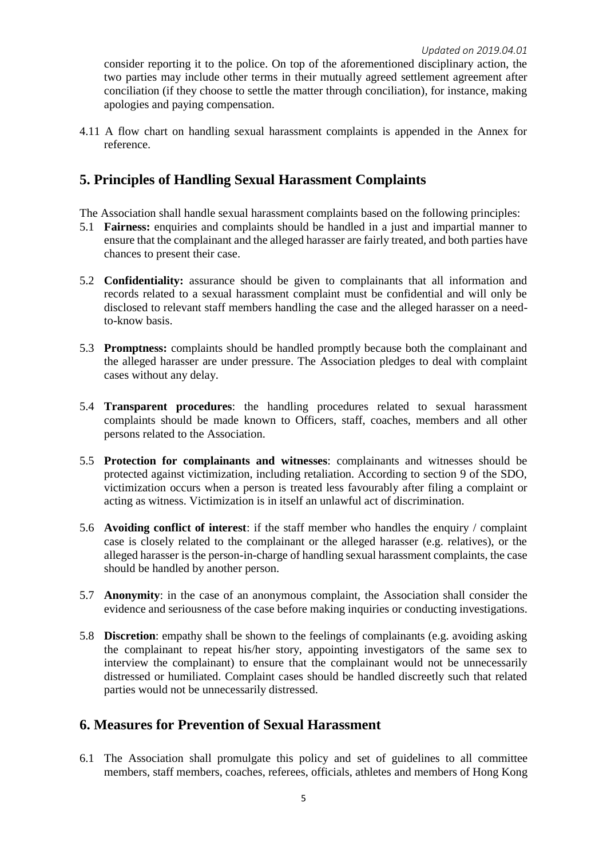consider reporting it to the police. On top of the aforementioned disciplinary action, the two parties may include other terms in their mutually agreed settlement agreement after conciliation (if they choose to settle the matter through conciliation), for instance, making apologies and paying compensation.

4.11 A flow chart on handling sexual harassment complaints is appended in the Annex for reference.

#### **5. Principles of Handling Sexual Harassment Complaints**

- The Association shall handle sexual harassment complaints based on the following principles:
- 5.1 **Fairness:** enquiries and complaints should be handled in a just and impartial manner to ensure that the complainant and the alleged harasser are fairly treated, and both parties have chances to present their case.
- 5.2 **Confidentiality:** assurance should be given to complainants that all information and records related to a sexual harassment complaint must be confidential and will only be disclosed to relevant staff members handling the case and the alleged harasser on a needto-know basis.
- 5.3 **Promptness:** complaints should be handled promptly because both the complainant and the alleged harasser are under pressure. The Association pledges to deal with complaint cases without any delay.
- 5.4 **Transparent procedures**: the handling procedures related to sexual harassment complaints should be made known to Officers, staff, coaches, members and all other persons related to the Association.
- 5.5 **Protection for complainants and witnesses**: complainants and witnesses should be protected against victimization, including retaliation. According to section 9 of the SDO, victimization occurs when a person is treated less favourably after filing a complaint or acting as witness. Victimization is in itself an unlawful act of discrimination.
- 5.6 **Avoiding conflict of interest**: if the staff member who handles the enquiry / complaint case is closely related to the complainant or the alleged harasser (e.g. relatives), or the alleged harasser is the person-in-charge of handling sexual harassment complaints, the case should be handled by another person.
- 5.7 **Anonymity**: in the case of an anonymous complaint, the Association shall consider the evidence and seriousness of the case before making inquiries or conducting investigations.
- 5.8 **Discretion**: empathy shall be shown to the feelings of complainants (e.g. avoiding asking the complainant to repeat his/her story, appointing investigators of the same sex to interview the complainant) to ensure that the complainant would not be unnecessarily distressed or humiliated. Complaint cases should be handled discreetly such that related parties would not be unnecessarily distressed.

#### **6. Measures for Prevention of Sexual Harassment**

6.1 The Association shall promulgate this policy and set of guidelines to all committee members, staff members, coaches, referees, officials, athletes and members of Hong Kong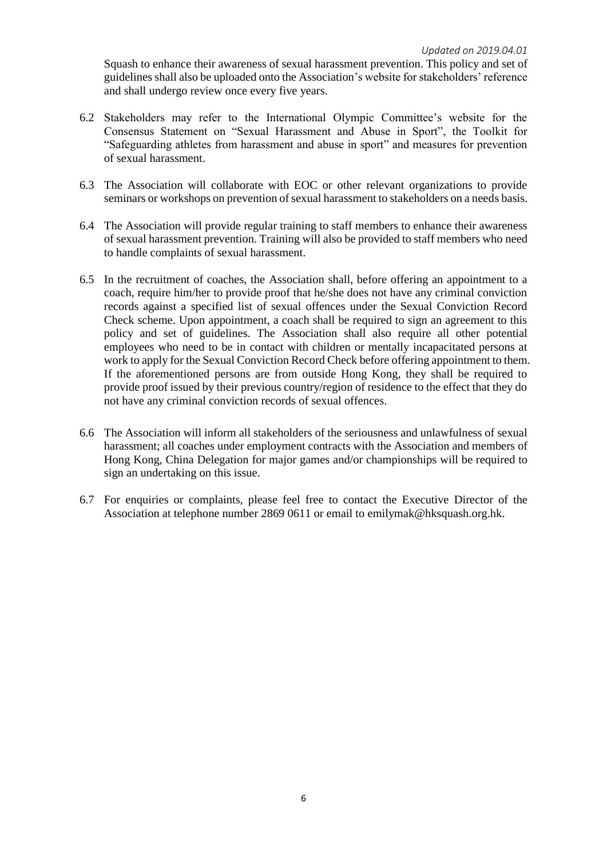Squash to enhance their awareness of sexual harassment prevention. This policy and set of guidelines shall also be uploaded onto the Association's website for stakeholders' reference and shall undergo review once every five years.

- 6.2 Stakeholders may refer to the International Olympic Committee's website for the Consensus Statement on "Sexual Harassment and Abuse in Sport", the Toolkit for "Safeguarding athletes from harassment and abuse in sport" and measures for prevention of sexual harassment.
- 6.3 The Association will collaborate with EOC or other relevant organizations to provide seminars or workshops on prevention of sexual harassment to stakeholders on a needs basis.
- 6.4 The Association will provide regular training to staff members to enhance their awareness of sexual harassment prevention. Training will also be provided to staff members who need to handle complaints of sexual harassment.
- 6.5 In the recruitment of coaches, the Association shall, before offering an appointment to a coach, require him/her to provide proof that he/she does not have any criminal conviction records against a specified list of sexual offences under the Sexual Conviction Record Check scheme. Upon appointment, a coach shall be required to sign an agreement to this policy and set of guidelines. The Association shall also require all other potential employees who need to be in contact with children or mentally incapacitated persons at work to apply for the Sexual Conviction Record Check before offering appointment to them. If the aforementioned persons are from outside Hong Kong, they shall be required to provide proof issued by their previous country/region of residence to the effect that they do not have any criminal conviction records of sexual offences.
- 6.6 The Association will inform all stakeholders of the seriousness and unlawfulness of sexual harassment; all coaches under employment contracts with the Association and members of Hong Kong, China Delegation for major games and/or championships will be required to sign an undertaking on this issue.
- 6.7 For enquiries or complaints, please feel free to contact the Executive Director of the Association at telephone number 2869 0611 or email to emilymak@hksquash.org.hk.